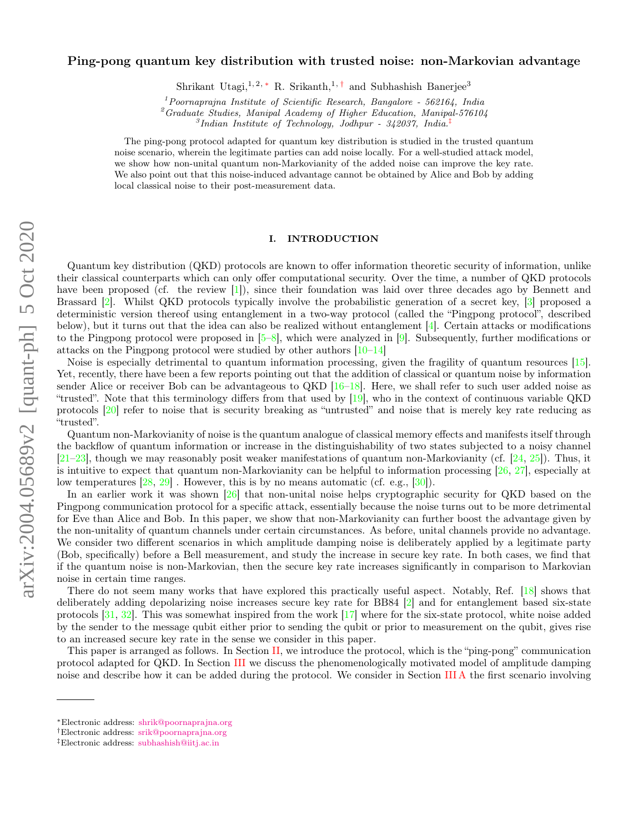# Ping-pong quantum key distribution with trusted noise: non-Markovian advantage

Shrikant Utagi,<sup>1, 2, \*</sup> R. Srikanth,<sup>1,†</sup> and Subhashish Banerjee<sup>3</sup>

 $1$ Poornaprajna Institute of Scientific Research, Bangalore - 562164, India

 ${}^{2}G$ raduate Studies, Manipal Academy of Higher Education, Manipal-576104

3 Indian Institute of Technology, Jodhpur - 342037, India.‡

The ping-pong protocol adapted for quantum key distribution is studied in the trusted quantum noise scenario, wherein the legitimate parties can add noise locally. For a well-studied attack model, we show how non-unital quantum non-Markovianity of the added noise can improve the key rate. We also point out that this noise-induced advantage cannot be obtained by Alice and Bob by adding local classical noise to their post-measurement data.

## I. INTRODUCTION

Quantum key distribution (QKD) protocols are known to offer information theoretic security of information, unlike their classical counterparts which can only offer computational security. Over the time, a number of QKD protocols have been proposed (cf. the review [1]), since their foundation was laid over three decades ago by Bennett and Brassard [2]. Whilst QKD protocols typically involve the probabilistic generation of a secret key, [3] proposed a deterministic version thereof using entanglement in a two-way protocol (called the "Pingpong protocol", described below), but it turns out that the idea can also be realized without entanglement [4]. Certain attacks or modifications to the Pingpong protocol were proposed in  $[5-8]$ , which were analyzed in  $[9]$ . Subsequently, further modifications or attacks on the Pingpong protocol were studied by other authors [10–14]

Noise is especially detrimental to quantum information processing, given the fragility of quantum resources [15]. Yet, recently, there have been a few reports pointing out that the addition of classical or quantum noise by information sender Alice or receiver Bob can be advantageous to QKD [16–18]. Here, we shall refer to such user added noise as "trusted". Note that this terminology differs from that used by [19], who in the context of continuous variable QKD protocols [20] refer to noise that is security breaking as "untrusted" and noise that is merely key rate reducing as "trusted".

Quantum non-Markovianity of noise is the quantum analogue of classical memory effects and manifests itself through the backflow of quantum information or increase in the distinguishability of two states subjected to a noisy channel [21–23], though we may reasonably posit weaker manifestations of quantum non-Markovianity (cf. [24, 25]). Thus, it is intuitive to expect that quantum non-Markovianity can be helpful to information processing [26, 27], especially at low temperatures [28, 29] . However, this is by no means automatic (cf. e.g., [30]).

In an earlier work it was shown [26] that non-unital noise helps cryptographic security for QKD based on the Pingpong communication protocol for a specific attack, essentially because the noise turns out to be more detrimental for Eve than Alice and Bob. In this paper, we show that non-Markovianity can further boost the advantage given by the non-unitality of quantum channels under certain circumstances. As before, unital channels provide no advantage. We consider two different scenarios in which amplitude damping noise is deliberately applied by a legitimate party (Bob, specifically) before a Bell measurement, and study the increase in secure key rate. In both cases, we find that if the quantum noise is non-Markovian, then the secure key rate increases significantly in comparison to Markovian noise in certain time ranges.

There do not seem many works that have explored this practically useful aspect. Notably, Ref. [18] shows that deliberately adding depolarizing noise increases secure key rate for BB84 [2] and for entanglement based six-state protocols [31, 32]. This was somewhat inspired from the work [17] where for the six-state protocol, white noise added by the sender to the message qubit either prior to sending the qubit or prior to measurement on the qubit, gives rise to an increased secure key rate in the sense we consider in this paper.

This paper is arranged as follows. In Section II, we introduce the protocol, which is the "ping-pong" communication protocol adapted for QKD. In Section III we discuss the phenomenologically motivated model of amplitude damping noise and describe how it can be added during the protocol. We consider in Section III A the first scenario involving

<sup>∗</sup>Electronic address: shrik@poornaprajna.org

<sup>†</sup>Electronic address: srik@poornaprajna.org

<sup>‡</sup>Electronic address: subhashish@iitj.ac.in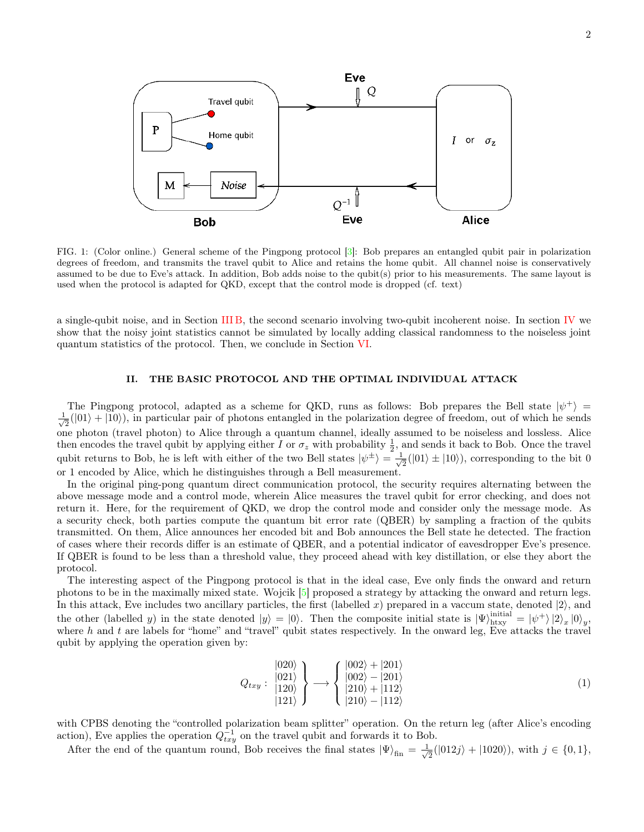

FIG. 1: (Color online.) General scheme of the Pingpong protocol [3]: Bob prepares an entangled qubit pair in polarization degrees of freedom, and transmits the travel qubit to Alice and retains the home qubit. All channel noise is conservatively assumed to be due to Eve's attack. In addition, Bob adds noise to the qubit(s) prior to his measurements. The same layout is used when the protocol is adapted for QKD, except that the control mode is dropped (cf. text)

a single-qubit noise, and in Section III B, the second scenario involving two-qubit incoherent noise. In section IV we show that the noisy joint statistics cannot be simulated by locally adding classical randomness to the noiseless joint quantum statistics of the protocol. Then, we conclude in Section VI.

# II. THE BASIC PROTOCOL AND THE OPTIMAL INDIVIDUAL ATTACK

The Pingpong protocol, adapted as a scheme for QKD, runs as follows: Bob prepares the Bell state  $|\psi^{+}\rangle$  =  $\frac{1}{\sqrt{2}}$  $\frac{1}{2}(|01\rangle + |10\rangle)$ , in particular pair of photons entangled in the polarization degree of freedom, out of which he sends one photon (travel photon) to Alice through a quantum channel, ideally assumed to be noiseless and lossless. Alice then encodes the travel qubit by applying either I or  $\sigma_z$  with probability  $\frac{1}{2}$ , and sends it back to Bob. Once the travel qubit returns to Bob, he is left with either of the two Bell states  $|\psi^{\pm}\rangle = \frac{1}{\sqrt{\pi}}$  $\frac{1}{2}(|01\rangle \pm |10\rangle)$ , corresponding to the bit 0 or 1 encoded by Alice, which he distinguishes through a Bell measurement.

In the original ping-pong quantum direct communication protocol, the security requires alternating between the above message mode and a control mode, wherein Alice measures the travel qubit for error checking, and does not return it. Here, for the requirement of QKD, we drop the control mode and consider only the message mode. As a security check, both parties compute the quantum bit error rate (QBER) by sampling a fraction of the qubits transmitted. On them, Alice announces her encoded bit and Bob announces the Bell state he detected. The fraction of cases where their records differ is an estimate of QBER, and a potential indicator of eavesdropper Eve's presence. If QBER is found to be less than a threshold value, they proceed ahead with key distillation, or else they abort the protocol.

The interesting aspect of the Pingpong protocol is that in the ideal case, Eve only finds the onward and return photons to be in the maximally mixed state. Wojcik [5] proposed a strategy by attacking the onward and return legs. In this attack, Eve includes two ancillary particles, the first (labelled x) prepared in a vaccum state, denoted  $|2\rangle$ , and the other (labelled y) in the state denoted  $|y\rangle = |0\rangle$ . Then the composite initial state is  $|\Psi\rangle_{\text{htxy}}^{\text{initial}} = |\psi^{+}\rangle |2\rangle_{x} |0\rangle_{y}$ . where h and t are labels for "home" and "travel" qubit states respectively. In the onward leg, Eve attacks the travel qubit by applying the operation given by:

$$
Q_{txy}: \begin{array}{c} |020\rangle \\ |021\rangle \\ |120\rangle \\ |121\rangle \end{array} \longrightarrow \begin{cases} |002\rangle + |201\rangle \\ |002\rangle - |201\rangle \\ |210\rangle + |112\rangle \\ |210\rangle - |112\rangle \end{cases} (1)
$$

with CPBS denoting the "controlled polarization beam splitter" operation. On the return leg (after Alice's encoding action), Eve applies the operation  $Q_{txy}^{-1}$  on the travel qubit and forwards it to Bob.

After the end of the quantum round, Bob receives the final states  $|\Psi\rangle_{fin} = \frac{1}{\sqrt{n}}$  $\frac{1}{2}(|012j\rangle + |1020\rangle), \text{ with } j \in \{0, 1\},\$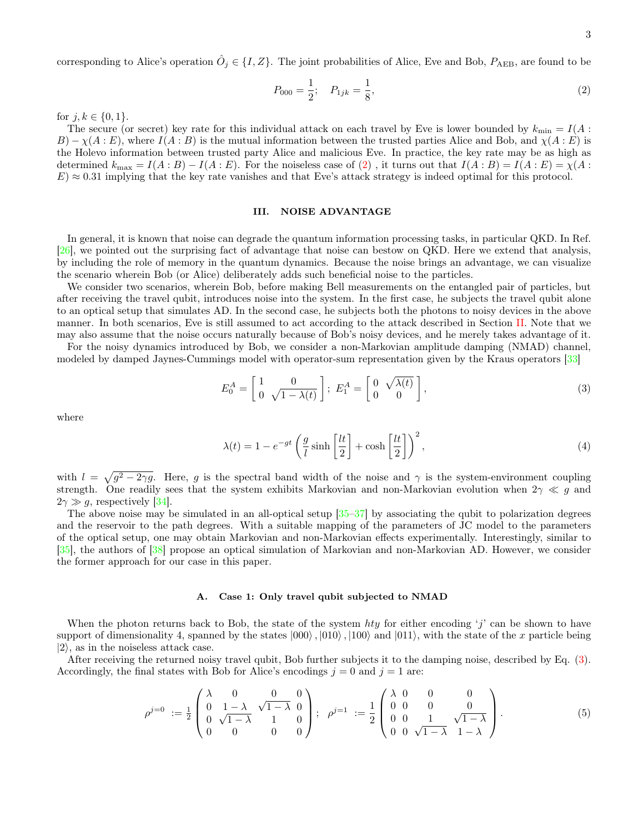corresponding to Alice's operation  $\hat{O}_j \in \{I, Z\}$ . The joint probabilities of Alice, Eve and Bob,  $P_{\text{AEB}}$ , are found to be

$$
P_{000} = \frac{1}{2}; \quad P_{1jk} = \frac{1}{8},\tag{2}
$$

for  $j, k \in \{0, 1\}.$ 

The secure (or secret) key rate for this individual attack on each travel by Eve is lower bounded by  $k_{\min} = I(A :$  $B$ ) –  $\chi(A:E)$ , where  $I(A:B)$  is the mutual information between the trusted parties Alice and Bob, and  $\chi(A:E)$  is the Holevo information between trusted party Alice and malicious Eve. In practice, the key rate may be as high as determined  $k_{\text{max}} = I(A : B) - I(A : E)$ . For the noiseless case of (2), it turns out that  $I(A : B) = I(A : E) = \chi(A : E)$  $E \geq 0.31$  implying that the key rate vanishes and that Eve's attack strategy is indeed optimal for this protocol.

### III. NOISE ADVANTAGE

In general, it is known that noise can degrade the quantum information processing tasks, in particular QKD. In Ref. [26], we pointed out the surprising fact of advantage that noise can bestow on QKD. Here we extend that analysis, by including the role of memory in the quantum dynamics. Because the noise brings an advantage, we can visualize the scenario wherein Bob (or Alice) deliberately adds such beneficial noise to the particles.

We consider two scenarios, wherein Bob, before making Bell measurements on the entangled pair of particles, but after receiving the travel qubit, introduces noise into the system. In the first case, he subjects the travel qubit alone to an optical setup that simulates AD. In the second case, he subjects both the photons to noisy devices in the above manner. In both scenarios, Eve is still assumed to act according to the attack described in Section II. Note that we may also assume that the noise occurs naturally because of Bob's noisy devices, and he merely takes advantage of it.

For the noisy dynamics introduced by Bob, we consider a non-Markovian amplitude damping (NMAD) channel, modeled by damped Jaynes-Cummings model with operator-sum representation given by the Kraus operators [33]

$$
E_0^A = \begin{bmatrix} 1 & 0 \\ 0 & \sqrt{1 - \lambda(t)} \end{bmatrix}; \ E_1^A = \begin{bmatrix} 0 & \sqrt{\lambda(t)} \\ 0 & 0 \end{bmatrix}, \tag{3}
$$

where

$$
\lambda(t) = 1 - e^{-gt} \left( \frac{g}{l} \sinh\left[\frac{lt}{2}\right] + \cosh\left[\frac{lt}{2}\right] \right)^2,\tag{4}
$$

with  $l = \sqrt{g^2 - 2\gamma g}$ . Here, g is the spectral band width of the noise and  $\gamma$  is the system-environment coupling strength. One readily sees that the system exhibits Markovian and non-Markovian evolution when  $2\gamma \ll g$  and  $2\gamma \gg q$ , respectively [34].

The above noise may be simulated in an all-optical setup  $[35-37]$  by associating the qubit to polarization degrees and the reservoir to the path degrees. With a suitable mapping of the parameters of JC model to the parameters of the optical setup, one may obtain Markovian and non-Markovian effects experimentally. Interestingly, similar to [35], the authors of [38] propose an optical simulation of Markovian and non-Markovian AD. However, we consider the former approach for our case in this paper.

## A. Case 1: Only travel qubit subjected to NMAD

When the photon returns back to Bob, the state of the system hty for either encoding 'j' can be shown to have support of dimensionality 4, spanned by the states  $|000\rangle$ ,  $|010\rangle$ ,  $|100\rangle$  and  $|011\rangle$ , with the state of the x particle being  $|2\rangle$ , as in the noiseless attack case.

After receiving the returned noisy travel qubit, Bob further subjects it to the damping noise, described by Eq. (3). Accordingly, the final states with Bob for Alice's encodings  $j = 0$  and  $j = 1$  are:

$$
\rho^{j=0} := \frac{1}{2} \begin{pmatrix} \lambda & 0 & 0 & 0 \\ 0 & 1 - \lambda & \sqrt{1 - \lambda} & 0 \\ 0 & \sqrt{1 - \lambda} & 1 & 0 \\ 0 & 0 & 0 & 0 \end{pmatrix}; \quad \rho^{j=1} := \frac{1}{2} \begin{pmatrix} \lambda & 0 & 0 & 0 \\ 0 & 0 & 0 & 0 \\ 0 & 0 & 1 & \sqrt{1 - \lambda} \\ 0 & 0 & \sqrt{1 - \lambda} & 1 - \lambda \end{pmatrix}.
$$
 (5)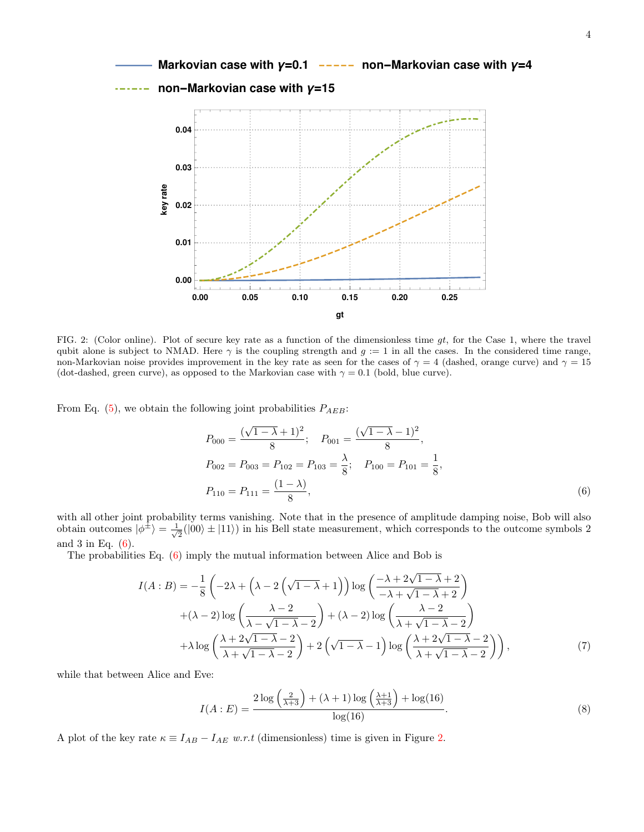

FIG. 2: (Color online). Plot of secure key rate as a function of the dimensionless time  $gt$ , for the Case 1, where the travel qubit alone is subject to NMAD. Here  $\gamma$  is the coupling strength and  $g := 1$  in all the cases. In the considered time range, non-Markovian noise provides improvement in the key rate as seen for the cases of  $\gamma = 4$  (dashed, orange curve) and  $\gamma = 15$ (dot-dashed, green curve), as opposed to the Markovian case with  $\gamma = 0.1$  (bold, blue curve).

From Eq.  $(5)$ , we obtain the following joint probabilities  $P_{AEB}$ :

$$
P_{000} = \frac{(\sqrt{1-\lambda}+1)^2}{8}; \quad P_{001} = \frac{(\sqrt{1-\lambda}-1)^2}{8},
$$
  
\n
$$
P_{002} = P_{003} = P_{102} = P_{103} = \frac{\lambda}{8}; \quad P_{100} = P_{101} = \frac{1}{8},
$$
  
\n
$$
P_{110} = P_{111} = \frac{(1-\lambda)}{8},
$$
\n(6)

with all other joint probability terms vanishing. Note that in the presence of amplitude damping noise, Bob will also obtain outcomes  $|\phi^{\pm}\rangle = \frac{1}{\sqrt{2}}$  $\frac{1}{2}(|00\rangle \pm |11\rangle)$  in his Bell state measurement, which corresponds to the outcome symbols 2 and 3 in Eq. (6).

The probabilities Eq. (6) imply the mutual information between Alice and Bob is

$$
I(A:B) = -\frac{1}{8} \left( -2\lambda + \left( \lambda - 2\left(\sqrt{1 - \lambda} + 1\right) \right) \log \left( \frac{-\lambda + 2\sqrt{1 - \lambda} + 2}{-\lambda + \sqrt{1 - \lambda} + 2} \right) \right)
$$
  
+ 
$$
(\lambda - 2) \log \left( \frac{\lambda - 2}{\lambda - \sqrt{1 - \lambda} - 2} \right) + (\lambda - 2) \log \left( \frac{\lambda - 2}{\lambda + \sqrt{1 - \lambda} - 2} \right)
$$
  
+ 
$$
\lambda \log \left( \frac{\lambda + 2\sqrt{1 - \lambda} - 2}{\lambda + \sqrt{1 - \lambda} - 2} \right) + 2 \left( \sqrt{1 - \lambda} - 1 \right) \log \left( \frac{\lambda + 2\sqrt{1 - \lambda} - 2}{\lambda + \sqrt{1 - \lambda} - 2} \right) \right),
$$
 (7)

while that between Alice and Eve:

$$
I(A:E) = \frac{2\log\left(\frac{2}{\lambda+3}\right) + (\lambda+1)\log\left(\frac{\lambda+1}{\lambda+3}\right) + \log(16)}{\log(16)}.
$$
 (8)

A plot of the key rate  $\kappa \equiv I_{AB} - I_{AE}$  w.r.t (dimensionless) time is given in Figure 2.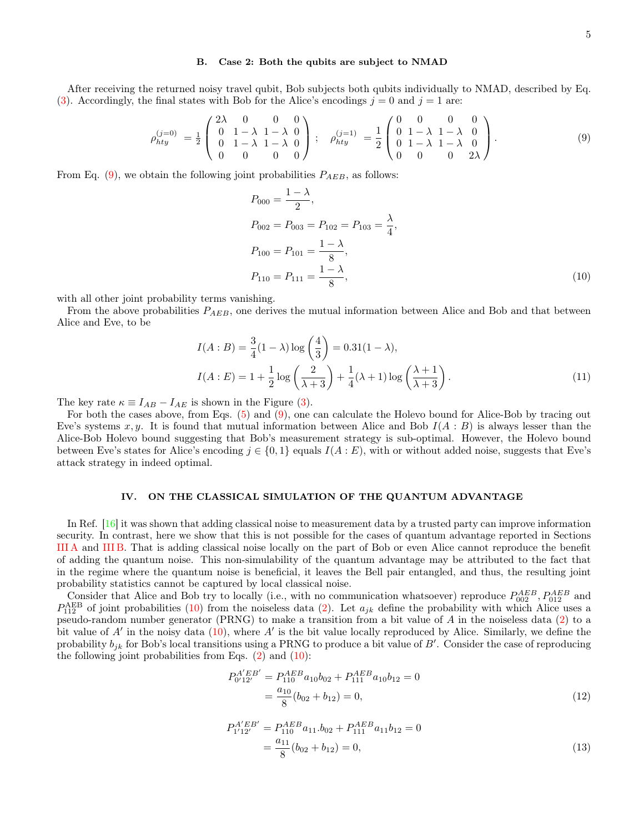## B. Case 2: Both the qubits are subject to NMAD

After receiving the returned noisy travel qubit, Bob subjects both qubits individually to NMAD, described by Eq. (3). Accordingly, the final states with Bob for the Alice's encodings  $j = 0$  and  $j = 1$  are:

$$
\rho_{hty}^{(j=0)} = \frac{1}{2} \begin{pmatrix} 2\lambda & 0 & 0 & 0 \\ 0 & 1 - \lambda & 1 - \lambda & 0 \\ 0 & 1 - \lambda & 1 - \lambda & 0 \\ 0 & 0 & 0 & 0 \end{pmatrix}; \quad \rho_{hty}^{(j=1)} = \frac{1}{2} \begin{pmatrix} 0 & 0 & 0 & 0 \\ 0 & 1 - \lambda & 1 - \lambda & 0 \\ 0 & 1 - \lambda & 1 - \lambda & 0 \\ 0 & 0 & 0 & 2\lambda \end{pmatrix}.
$$
 (9)

From Eq. (9), we obtain the following joint probabilities  $P_{AEB}$ , as follows:

$$
P_{000} = \frac{1 - \lambda}{2},
$$
  
\n
$$
P_{002} = P_{003} = P_{102} = P_{103} = \frac{\lambda}{4},
$$
  
\n
$$
P_{100} = P_{101} = \frac{1 - \lambda}{8},
$$
  
\n
$$
P_{110} = P_{111} = \frac{1 - \lambda}{8},
$$
\n(10)

with all other joint probability terms vanishing.

From the above probabilities  $P_{AEB}$ , one derives the mutual information between Alice and Bob and that between Alice and Eve, to be

$$
I(A:B) = \frac{3}{4}(1-\lambda)\log\left(\frac{4}{3}\right) = 0.31(1-\lambda),
$$
  

$$
I(A:E) = 1 + \frac{1}{2}\log\left(\frac{2}{\lambda+3}\right) + \frac{1}{4}(\lambda+1)\log\left(\frac{\lambda+1}{\lambda+3}\right).
$$
 (11)

The key rate  $\kappa \equiv I_{AB} - I_{AE}$  is shown in the Figure (3).

For both the cases above, from Eqs. (5) and (9), one can calculate the Holevo bound for Alice-Bob by tracing out Eve's systems x, y. It is found that mutual information between Alice and Bob  $I(A : B)$  is always lesser than the Alice-Bob Holevo bound suggesting that Bob's measurement strategy is sub-optimal. However, the Holevo bound between Eve's states for Alice's encoding  $j \in \{0,1\}$  equals  $I(A:E)$ , with or without added noise, suggests that Eve's attack strategy in indeed optimal.

## IV. ON THE CLASSICAL SIMULATION OF THE QUANTUM ADVANTAGE

In Ref. [16] it was shown that adding classical noise to measurement data by a trusted party can improve information security. In contrast, here we show that this is not possible for the cases of quantum advantage reported in Sections III A and III B. That is adding classical noise locally on the part of Bob or even Alice cannot reproduce the benefit of adding the quantum noise. This non-simulability of the quantum advantage may be attributed to the fact that in the regime where the quantum noise is beneficial, it leaves the Bell pair entangled, and thus, the resulting joint probability statistics cannot be captured by local classical noise.

Consider that Alice and Bob try to locally (i.e., with no communication whatsoever) reproduce  $P_{002}^{AEB}$ ,  $P_{012}^{AEB}$  and  $P_{112}^{\text{AEB}}$  of joint probabilities (10) from the noiseless data (2). Let  $a_{jk}$  define the probability with which Alice uses a pseudo-random number generator (PRNG) to make a transition from a bit value of A in the noiseless data (2) to a bit value of  $A'$  in the noisy data (10), where  $A'$  is the bit value locally reproduced by Alice. Similarly, we define the probability  $b_{jk}$  for Bob's local transitions using a PRNG to produce a bit value of B'. Consider the case of reproducing the following joint probabilities from Eqs.  $(2)$  and  $(10)$ :

$$
P_{0'12'}^{A'EB'} = P_{110}^{AEB} a_{10} b_{02} + P_{111}^{AEB} a_{10} b_{12} = 0
$$
  
= 
$$
\frac{a_{10}}{8} (b_{02} + b_{12}) = 0,
$$
 (12)

$$
P_{1'12'}^{A'EB'} = P_{110}^{AEB} a_{11} b_{02} + P_{111}^{AEB} a_{11} b_{12} = 0
$$
  
= 
$$
\frac{a_{11}}{8} (b_{02} + b_{12}) = 0,
$$
 (13)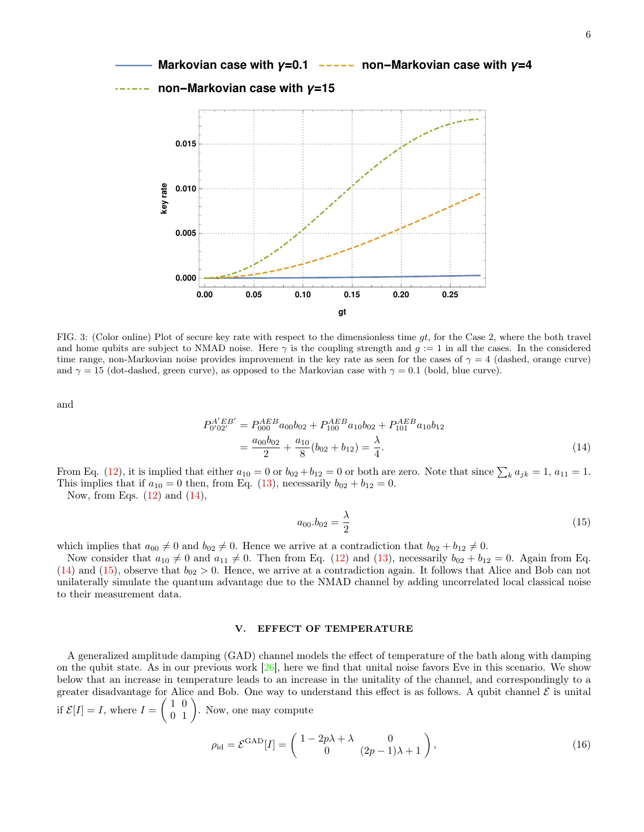

FIG. 3: (Color online) Plot of secure key rate with respect to the dimensionless time  $gt$ , for the Case 2, where the both travel and home qubits are subject to NMAD noise. Here  $\gamma$  is the coupling strength and  $g := 1$  in all the cases. In the considered time range, non-Markovian noise provides improvement in the key rate as seen for the cases of  $\gamma = 4$  (dashed, orange curve) and  $\gamma = 15$  (dot-dashed, green curve), as opposed to the Markovian case with  $\gamma = 0.1$  (bold, blue curve).

and

$$
P_{0'02'}^{A'EB'} = P_{000}^{AEB} a_{00} b_{02} + P_{100}^{AEB} a_{10} b_{02} + P_{101}^{AEB} a_{10} b_{12}
$$
  
= 
$$
\frac{a_{00} b_{02}}{2} + \frac{a_{10}}{8} (b_{02} + b_{12}) = \frac{\lambda}{4}.
$$
 (14)

From Eq. (12), it is implied that either  $a_{10} = 0$  or  $b_{02} + b_{12} = 0$  or both are zero. Note that since  $\sum_k a_{jk} = 1$ ,  $a_{11} = 1$ . This implies that if  $a_{10} = 0$  then, from Eq. (13), necessarily  $b_{02} + b_{12} = 0$ .

Now, from Eqs.  $(12)$  and  $(14)$ ,

$$
a_{00}.b_{02} = \frac{\lambda}{2} \tag{15}
$$

which implies that  $a_{00} \neq 0$  and  $b_{02} \neq 0$ . Hence we arrive at a contradiction that  $b_{02} + b_{12} \neq 0$ .

Now consider that  $a_{10} \neq 0$  and  $a_{11} \neq 0$ . Then from Eq. (12) and (13), necessarily  $b_{02} + b_{12} = 0$ . Again from Eq.  $(14)$  and  $(15)$ , observe that  $b_{02} > 0$ . Hence, we arrive at a contradiction again. It follows that Alice and Bob can not unilaterally simulate the quantum advantage due to the NMAD channel by adding uncorrelated local classical noise to their measurement data.

### V. EFFECT OF TEMPERATURE

A generalized amplitude damping (GAD) channel models the effect of temperature of the bath along with damping on the qubit state. As in our previous work  $[26]$ , here we find that unital noise favors Eve in this scenario. We show below that an increase in temperature leads to an increase in the unitality of the channel, and correspondingly to a greater disadvantage for Alice and Bob. One way to understand this effect is as follows. A qubit channel  $\mathcal E$  is unital if  $\mathcal{E}[I] = I$ , where  $I = \begin{pmatrix} 1 & 0 \\ 0 & 1 \end{pmatrix}$ . Now, one may compute

$$
\rho_{\rm id} = \mathcal{E}^{\rm GAD}[I] = \begin{pmatrix} 1 - 2p\lambda + \lambda & 0\\ 0 & (2p - 1)\lambda + 1 \end{pmatrix},\tag{16}
$$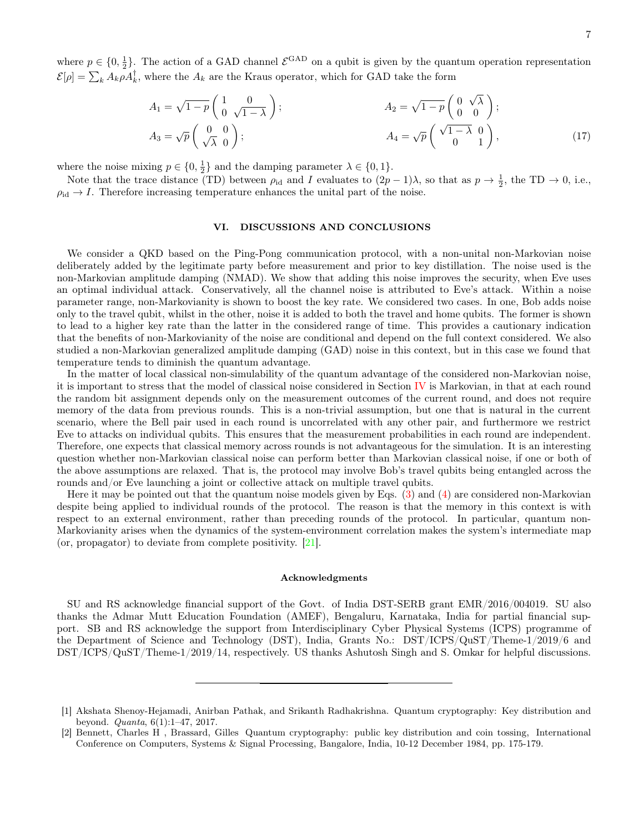where  $p \in \{0, \frac{1}{2}\}$ . The action of a GAD channel  $\mathcal{E}^{\text{GAD}}$  on a qubit is given by the quantum operation representation  $\mathcal{E}[\rho] = \sum_{k} A_{k} \rho A_{k}^{\dagger}$ , where the  $A_{k}$  are the Kraus operator, which for GAD take the form

$$
A_1 = \sqrt{1-p} \begin{pmatrix} 1 & 0 \\ 0 & \sqrt{1-\lambda} \end{pmatrix}; \qquad A_2 = \sqrt{1-p} \begin{pmatrix} 0 & \sqrt{\lambda} \\ 0 & 0 \end{pmatrix};
$$
  
\n
$$
A_3 = \sqrt{p} \begin{pmatrix} 0 & 0 \\ \sqrt{\lambda} & 0 \end{pmatrix}; \qquad A_4 = \sqrt{p} \begin{pmatrix} \sqrt{1-\lambda} & 0 \\ 0 & 1 \end{pmatrix}, \qquad (17)
$$

where the noise mixing  $p \in \{0, \frac{1}{2}\}$  and the damping parameter  $\lambda \in \{0, 1\}$ .

Note that the trace distance (TD) between  $\rho_{\text{id}}$  and I evaluates to  $(2p-1)\lambda$ , so that as  $p \to \frac{1}{2}$ , the TD  $\to 0$ , i.e.,  $\rho_{\rm id} \rightarrow I$ . Therefore increasing temperature enhances the unital part of the noise.

## VI. DISCUSSIONS AND CONCLUSIONS

We consider a QKD based on the Ping-Pong communication protocol, with a non-unital non-Markovian noise deliberately added by the legitimate party before measurement and prior to key distillation. The noise used is the non-Markovian amplitude damping (NMAD). We show that adding this noise improves the security, when Eve uses an optimal individual attack. Conservatively, all the channel noise is attributed to Eve's attack. Within a noise parameter range, non-Markovianity is shown to boost the key rate. We considered two cases. In one, Bob adds noise only to the travel qubit, whilst in the other, noise it is added to both the travel and home qubits. The former is shown to lead to a higher key rate than the latter in the considered range of time. This provides a cautionary indication that the benefits of non-Markovianity of the noise are conditional and depend on the full context considered. We also studied a non-Markovian generalized amplitude damping (GAD) noise in this context, but in this case we found that temperature tends to diminish the quantum advantage.

In the matter of local classical non-simulability of the quantum advantage of the considered non-Markovian noise, it is important to stress that the model of classical noise considered in Section IV is Markovian, in that at each round the random bit assignment depends only on the measurement outcomes of the current round, and does not require memory of the data from previous rounds. This is a non-trivial assumption, but one that is natural in the current scenario, where the Bell pair used in each round is uncorrelated with any other pair, and furthermore we restrict Eve to attacks on individual qubits. This ensures that the measurement probabilities in each round are independent. Therefore, one expects that classical memory across rounds is not advantageous for the simulation. It is an interesting question whether non-Markovian classical noise can perform better than Markovian classical noise, if one or both of the above assumptions are relaxed. That is, the protocol may involve Bob's travel qubits being entangled across the rounds and/or Eve launching a joint or collective attack on multiple travel qubits.

Here it may be pointed out that the quantum noise models given by Eqs. (3) and (4) are considered non-Markovian despite being applied to individual rounds of the protocol. The reason is that the memory in this context is with respect to an external environment, rather than preceding rounds of the protocol. In particular, quantum non-Markovianity arises when the dynamics of the system-environment correlation makes the system's intermediate map (or, propagator) to deviate from complete positivity. [21].

## Acknowledgments

SU and RS acknowledge financial support of the Govt. of India DST-SERB grant EMR/2016/004019. SU also thanks the Admar Mutt Education Foundation (AMEF), Bengaluru, Karnataka, India for partial financial support. SB and RS acknowledge the support from Interdisciplinary Cyber Physical Systems (ICPS) programme of the Department of Science and Technology (DST), India, Grants No.: DST/ICPS/QuST/Theme-1/2019/6 and DST/ICPS/QuST/Theme-1/2019/14, respectively. US thanks Ashutosh Singh and S. Omkar for helpful discussions.

<sup>[1]</sup> Akshata Shenoy-Hejamadi, Anirban Pathak, and Srikanth Radhakrishna. Quantum cryptography: Key distribution and beyond. Quanta, 6(1):1–47, 2017.

<sup>[2]</sup> Bennett, Charles H , Brassard, Gilles Quantum cryptography: public key distribution and coin tossing, International Conference on Computers, Systems & Signal Processing, Bangalore, India, 10-12 December 1984, pp. 175-179.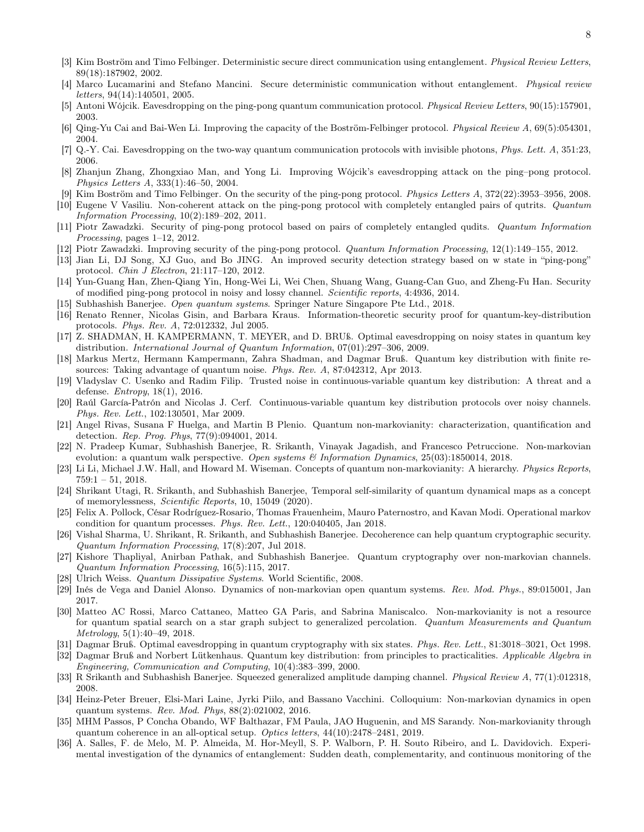- [3] Kim Boström and Timo Felbinger. Deterministic secure direct communication using entanglement. Physical Review Letters, 89(18):187902, 2002.
- [4] Marco Lucamarini and Stefano Mancini. Secure deterministic communication without entanglement. Physical review letters, 94(14):140501, 2005.
- [5] Antoni Wójcik. Eavesdropping on the ping-pong quantum communication protocol. Physical Review Letters, 90(15):157901, 2003.
- [6] Qing-Yu Cai and Bai-Wen Li. Improving the capacity of the Boström-Felbinger protocol. Physical Review A, 69(5):054301, 2004.
- [7] Q.-Y. Cai. Eavesdropping on the two-way quantum communication protocols with invisible photons, Phys. Lett. A, 351:23, 2006.
- [8] Zhanjun Zhang, Zhongxiao Man, and Yong Li. Improving Wójcik's eavesdropping attack on the ping–pong protocol. Physics Letters A, 333(1):46–50, 2004.
- Kim Boström and Timo Felbinger. On the security of the ping-pong protocol. Physics Letters A, 372(22):3953–3956, 2008.
- [10] Eugene V Vasiliu. Non-coherent attack on the ping-pong protocol with completely entangled pairs of qutrits. Quantum Information Processing, 10(2):189–202, 2011.
- [11] Piotr Zawadzki. Security of ping-pong protocol based on pairs of completely entangled qudits. Quantum Information Processing, pages 1-12, 2012.
- [12] Piotr Zawadzki. Improving security of the ping-pong protocol. Quantum Information Processing, 12(1):149–155, 2012.
- [13] Jian Li, DJ Song, XJ Guo, and Bo JING. An improved security detection strategy based on w state in "ping-pong" protocol. Chin J Electron, 21:117–120, 2012.
- [14] Yun-Guang Han, Zhen-Qiang Yin, Hong-Wei Li, Wei Chen, Shuang Wang, Guang-Can Guo, and Zheng-Fu Han. Security of modified ping-pong protocol in noisy and lossy channel. Scientific reports, 4:4936, 2014.
- [15] Subhashish Banerjee. Open quantum systems. Springer Nature Singapore Pte Ltd., 2018.
- [16] Renato Renner, Nicolas Gisin, and Barbara Kraus. Information-theoretic security proof for quantum-key-distribution protocols. Phys. Rev. A, 72:012332, Jul 2005.
- [17] Z. SHADMAN, H. KAMPERMANN, T. MEYER, and D. BRUß. Optimal eavesdropping on noisy states in quantum key distribution. International Journal of Quantum Information, 07(01):297–306, 2009.
- [18] Markus Mertz, Hermann Kampermann, Zahra Shadman, and Dagmar Bruß. Quantum key distribution with finite resources: Taking advantage of quantum noise. Phys. Rev. A, 87:042312, Apr 2013.
- [19] Vladyslav C. Usenko and Radim Filip. Trusted noise in continuous-variable quantum key distribution: A threat and a defense. Entropy, 18(1), 2016.
- [20] Raúl García-Patrón and Nicolas J. Cerf. Continuous-variable quantum key distribution protocols over noisy channels. Phys. Rev. Lett., 102:130501, Mar 2009.
- [21] Angel Rivas, Susana F Huelga, and Martin B Plenio. Quantum non-markovianity: characterization, quantification and detection. Rep. Prog. Phys, 77(9):094001, 2014.
- [22] N. Pradeep Kumar, Subhashish Banerjee, R. Srikanth, Vinayak Jagadish, and Francesco Petruccione. Non-markovian evolution: a quantum walk perspective. Open systems  $\mathcal{C}$  Information Dynamics, 25(03):1850014, 2018.
- [23] Li Li, Michael J.W. Hall, and Howard M. Wiseman. Concepts of quantum non-markovianity: A hierarchy. Physics Reports,  $759:1 - 51, 2018.$
- [24] Shrikant Utagi, R. Srikanth, and Subhashish Banerjee, Temporal self-similarity of quantum dynamical maps as a concept of memorylessness, Scientific Reports, 10, 15049 (2020).
- [25] Felix A. Pollock, César Rodríguez-Rosario, Thomas Frauenheim, Mauro Paternostro, and Kavan Modi. Operational markov condition for quantum processes. Phys. Rev. Lett., 120:040405, Jan 2018.
- [26] Vishal Sharma, U. Shrikant, R. Srikanth, and Subhashish Banerjee. Decoherence can help quantum cryptographic security. Quantum Information Processing, 17(8):207, Jul 2018.
- [27] Kishore Thapliyal, Anirban Pathak, and Subhashish Banerjee. Quantum cryptography over non-markovian channels. Quantum Information Processing, 16(5):115, 2017.
- [28] Ulrich Weiss. Quantum Dissipative Systems. World Scientific, 2008.
- [29] Inés de Vega and Daniel Alonso. Dynamics of non-markovian open quantum systems. Rev. Mod. Phys., 89:015001, Jan 2017.
- [30] Matteo AC Rossi, Marco Cattaneo, Matteo GA Paris, and Sabrina Maniscalco. Non-markovianity is not a resource for quantum spatial search on a star graph subject to generalized percolation. Quantum Measurements and Quantum Metrology, 5(1):40–49, 2018.
- [31] Dagmar Bruß. Optimal eavesdropping in quantum cryptography with six states. Phys. Rev. Lett., 81:3018–3021, Oct 1998.
- [32] Dagmar Bruß and Norbert Lütkenhaus. Quantum key distribution: from principles to practicalities. Applicable Algebra in Engineering, Communication and Computing, 10(4):383–399, 2000.
- [33] R Srikanth and Subhashish Banerjee. Squeezed generalized amplitude damping channel. Physical Review A, 77(1):012318, 2008.
- [34] Heinz-Peter Breuer, Elsi-Mari Laine, Jyrki Piilo, and Bassano Vacchini. Colloquium: Non-markovian dynamics in open quantum systems. Rev. Mod. Phys, 88(2):021002, 2016.
- [35] MHM Passos, P Concha Obando, WF Balthazar, FM Paula, JAO Huguenin, and MS Sarandy. Non-markovianity through quantum coherence in an all-optical setup. Optics letters, 44(10):2478–2481, 2019.
- [36] A. Salles, F. de Melo, M. P. Almeida, M. Hor-Meyll, S. P. Walborn, P. H. Souto Ribeiro, and L. Davidovich. Experimental investigation of the dynamics of entanglement: Sudden death, complementarity, and continuous monitoring of the